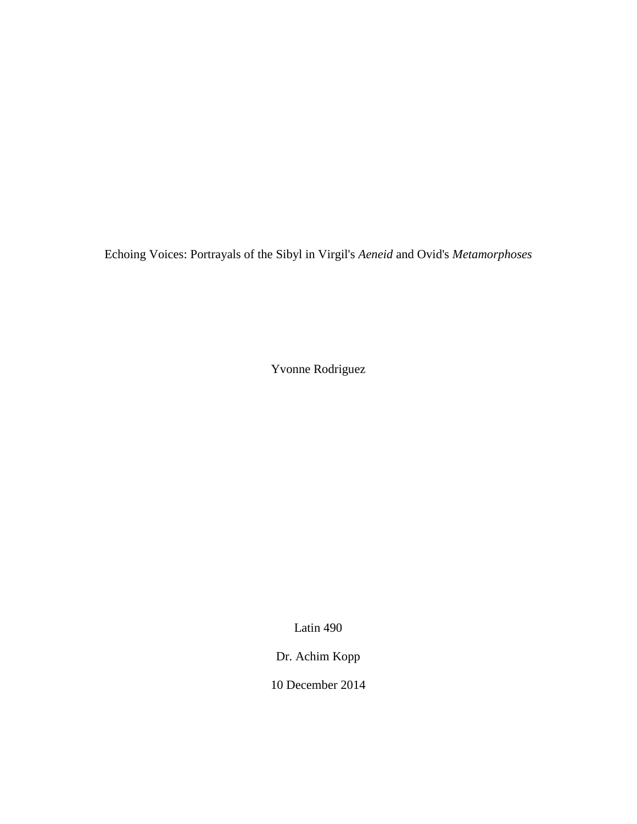Echoing Voices: Portrayals of the Sibyl in Virgil's *Aeneid* and Ovid's *Metamorphoses*

Yvonne Rodriguez

Latin 490

Dr. Achim Kopp

10 December 2014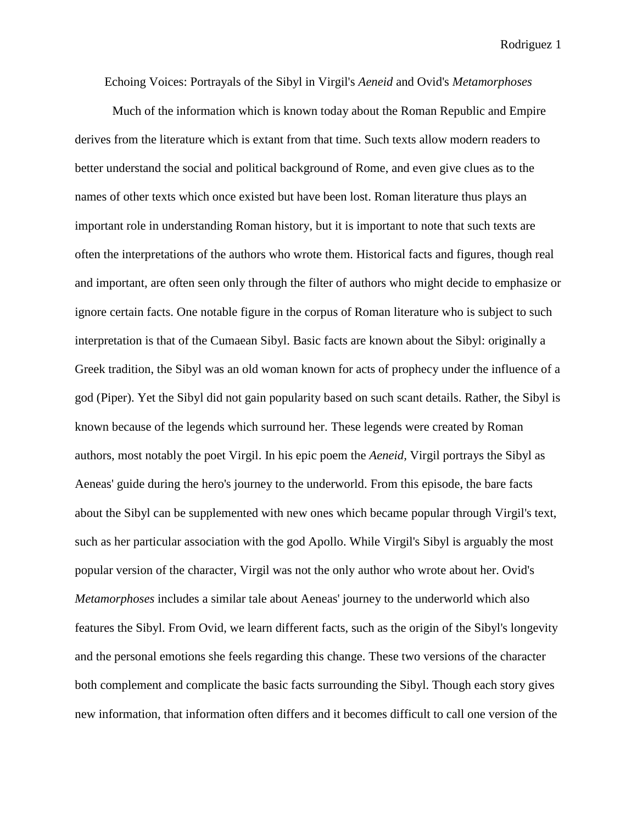Echoing Voices: Portrayals of the Sibyl in Virgil's *Aeneid* and Ovid's *Metamorphoses*

Much of the information which is known today about the Roman Republic and Empire derives from the literature which is extant from that time. Such texts allow modern readers to better understand the social and political background of Rome, and even give clues as to the names of other texts which once existed but have been lost. Roman literature thus plays an important role in understanding Roman history, but it is important to note that such texts are often the interpretations of the authors who wrote them. Historical facts and figures, though real and important, are often seen only through the filter of authors who might decide to emphasize or ignore certain facts. One notable figure in the corpus of Roman literature who is subject to such interpretation is that of the Cumaean Sibyl. Basic facts are known about the Sibyl: originally a Greek tradition, the Sibyl was an old woman known for acts of prophecy under the influence of a god (Piper). Yet the Sibyl did not gain popularity based on such scant details. Rather, the Sibyl is known because of the legends which surround her. These legends were created by Roman authors, most notably the poet Virgil. In his epic poem the *Aeneid,* Virgil portrays the Sibyl as Aeneas' guide during the hero's journey to the underworld. From this episode, the bare facts about the Sibyl can be supplemented with new ones which became popular through Virgil's text, such as her particular association with the god Apollo. While Virgil's Sibyl is arguably the most popular version of the character, Virgil was not the only author who wrote about her. Ovid's *Metamorphoses* includes a similar tale about Aeneas' journey to the underworld which also features the Sibyl. From Ovid, we learn different facts, such as the origin of the Sibyl's longevity and the personal emotions she feels regarding this change. These two versions of the character both complement and complicate the basic facts surrounding the Sibyl. Though each story gives new information, that information often differs and it becomes difficult to call one version of the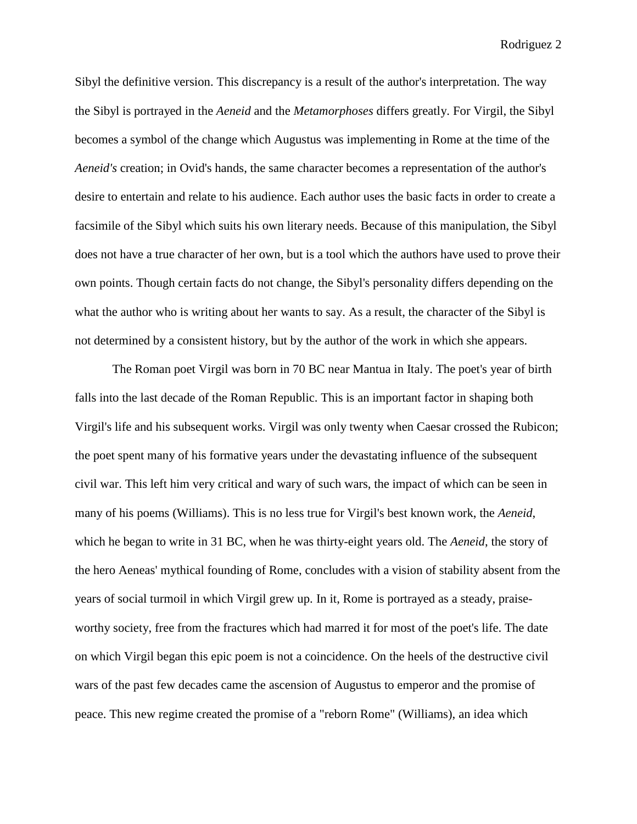Sibyl the definitive version. This discrepancy is a result of the author's interpretation. The way the Sibyl is portrayed in the *Aeneid* and the *Metamorphoses* differs greatly. For Virgil, the Sibyl becomes a symbol of the change which Augustus was implementing in Rome at the time of the *Aeneid's* creation; in Ovid's hands, the same character becomes a representation of the author's desire to entertain and relate to his audience. Each author uses the basic facts in order to create a facsimile of the Sibyl which suits his own literary needs. Because of this manipulation, the Sibyl does not have a true character of her own, but is a tool which the authors have used to prove their own points. Though certain facts do not change, the Sibyl's personality differs depending on the what the author who is writing about her wants to say. As a result, the character of the Sibyl is not determined by a consistent history, but by the author of the work in which she appears.

The Roman poet Virgil was born in 70 BC near Mantua in Italy. The poet's year of birth falls into the last decade of the Roman Republic. This is an important factor in shaping both Virgil's life and his subsequent works. Virgil was only twenty when Caesar crossed the Rubicon; the poet spent many of his formative years under the devastating influence of the subsequent civil war. This left him very critical and wary of such wars, the impact of which can be seen in many of his poems (Williams). This is no less true for Virgil's best known work, the *Aeneid*, which he began to write in 31 BC, when he was thirty-eight years old. The *Aeneid*, the story of the hero Aeneas' mythical founding of Rome, concludes with a vision of stability absent from the years of social turmoil in which Virgil grew up. In it, Rome is portrayed as a steady, praiseworthy society, free from the fractures which had marred it for most of the poet's life. The date on which Virgil began this epic poem is not a coincidence. On the heels of the destructive civil wars of the past few decades came the ascension of Augustus to emperor and the promise of peace. This new regime created the promise of a "reborn Rome" (Williams), an idea which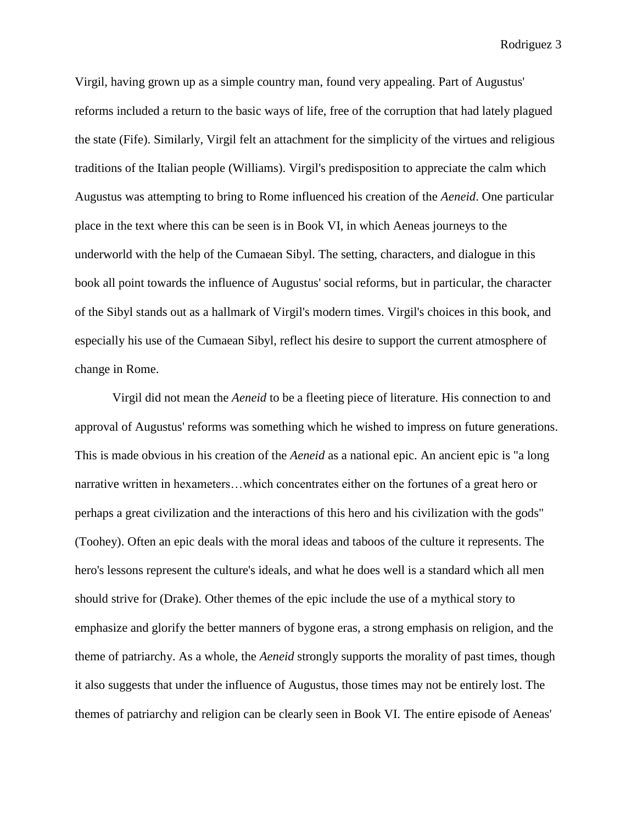Virgil, having grown up as a simple country man, found very appealing. Part of Augustus' reforms included a return to the basic ways of life, free of the corruption that had lately plagued the state (Fife). Similarly, Virgil felt an attachment for the simplicity of the virtues and religious traditions of the Italian people (Williams). Virgil's predisposition to appreciate the calm which Augustus was attempting to bring to Rome influenced his creation of the *Aeneid*. One particular place in the text where this can be seen is in Book VI, in which Aeneas journeys to the underworld with the help of the Cumaean Sibyl. The setting, characters, and dialogue in this book all point towards the influence of Augustus' social reforms, but in particular, the character of the Sibyl stands out as a hallmark of Virgil's modern times. Virgil's choices in this book, and especially his use of the Cumaean Sibyl, reflect his desire to support the current atmosphere of change in Rome.

Virgil did not mean the *Aeneid* to be a fleeting piece of literature. His connection to and approval of Augustus' reforms was something which he wished to impress on future generations. This is made obvious in his creation of the *Aeneid* as a national epic. An ancient epic is "a long narrative written in hexameters…which concentrates either on the fortunes of a great hero or perhaps a great civilization and the interactions of this hero and his civilization with the gods" (Toohey). Often an epic deals with the moral ideas and taboos of the culture it represents. The hero's lessons represent the culture's ideals, and what he does well is a standard which all men should strive for (Drake). Other themes of the epic include the use of a mythical story to emphasize and glorify the better manners of bygone eras, a strong emphasis on religion, and the theme of patriarchy. As a whole, the *Aeneid* strongly supports the morality of past times, though it also suggests that under the influence of Augustus, those times may not be entirely lost. The themes of patriarchy and religion can be clearly seen in Book VI. The entire episode of Aeneas'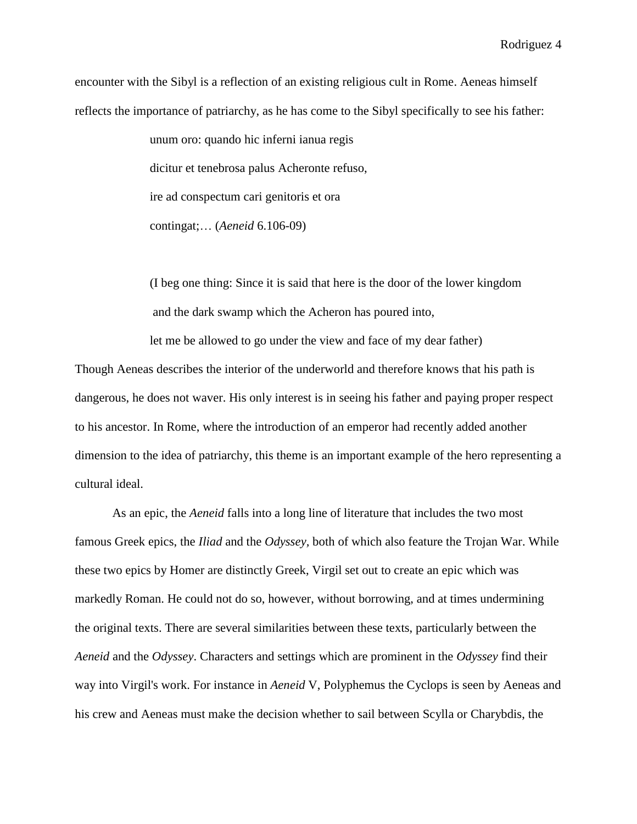encounter with the Sibyl is a reflection of an existing religious cult in Rome. Aeneas himself reflects the importance of patriarchy, as he has come to the Sibyl specifically to see his father:

> unum oro: quando hic inferni ianua regis dicitur et tenebrosa palus Acheronte refuso, ire ad conspectum cari genitoris et ora contingat;… (*Aeneid* 6.106-09)

(I beg one thing: Since it is said that here is the door of the lower kingdom and the dark swamp which the Acheron has poured into,

let me be allowed to go under the view and face of my dear father)

Though Aeneas describes the interior of the underworld and therefore knows that his path is dangerous, he does not waver. His only interest is in seeing his father and paying proper respect to his ancestor. In Rome, where the introduction of an emperor had recently added another dimension to the idea of patriarchy, this theme is an important example of the hero representing a cultural ideal.

As an epic, the *Aeneid* falls into a long line of literature that includes the two most famous Greek epics, the *Iliad* and the *Odyssey,* both of which also feature the Trojan War. While these two epics by Homer are distinctly Greek, Virgil set out to create an epic which was markedly Roman. He could not do so, however, without borrowing, and at times undermining the original texts. There are several similarities between these texts, particularly between the *Aeneid* and the *Odyssey*. Characters and settings which are prominent in the *Odyssey* find their way into Virgil's work. For instance in *Aeneid* V, Polyphemus the Cyclops is seen by Aeneas and his crew and Aeneas must make the decision whether to sail between Scylla or Charybdis, the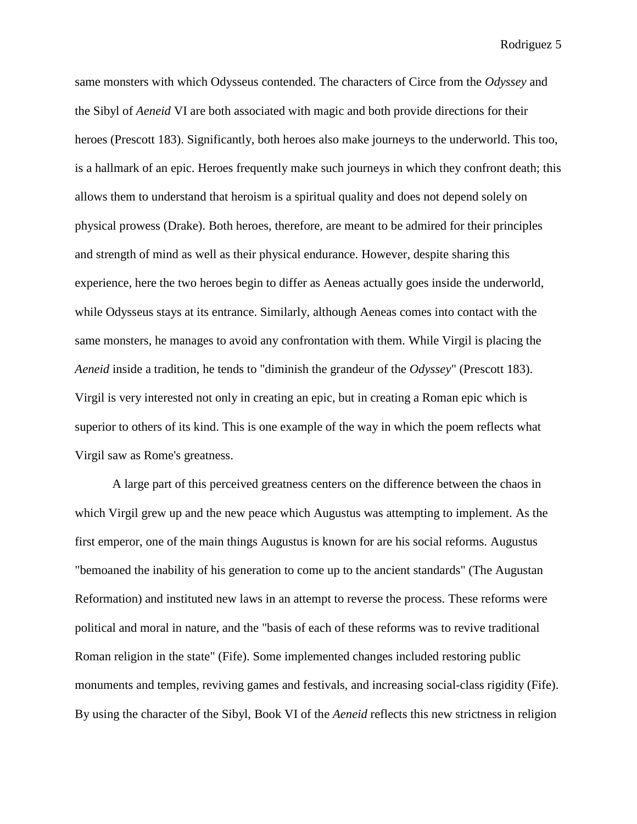same monsters with which Odysseus contended. The characters of Circe from the *Odyssey* and the Sibyl of *Aeneid* VI are both associated with magic and both provide directions for their heroes (Prescott 183). Significantly, both heroes also make journeys to the underworld. This too, is a hallmark of an epic. Heroes frequently make such journeys in which they confront death; this allows them to understand that heroism is a spiritual quality and does not depend solely on physical prowess (Drake). Both heroes, therefore, are meant to be admired for their principles and strength of mind as well as their physical endurance. However, despite sharing this experience, here the two heroes begin to differ as Aeneas actually goes inside the underworld, while Odysseus stays at its entrance. Similarly, although Aeneas comes into contact with the same monsters, he manages to avoid any confrontation with them. While Virgil is placing the *Aeneid* inside a tradition, he tends to "diminish the grandeur of the *Odyssey*" (Prescott 183). Virgil is very interested not only in creating an epic, but in creating a Roman epic which is superior to others of its kind. This is one example of the way in which the poem reflects what Virgil saw as Rome's greatness.

A large part of this perceived greatness centers on the difference between the chaos in which Virgil grew up and the new peace which Augustus was attempting to implement. As the first emperor, one of the main things Augustus is known for are his social reforms. Augustus "bemoaned the inability of his generation to come up to the ancient standards" (The Augustan Reformation) and instituted new laws in an attempt to reverse the process. These reforms were political and moral in nature, and the "basis of each of these reforms was to revive traditional Roman religion in the state" (Fife). Some implemented changes included restoring public monuments and temples, reviving games and festivals, and increasing social-class rigidity (Fife). By using the character of the Sibyl, Book VI of the *Aeneid* reflects this new strictness in religion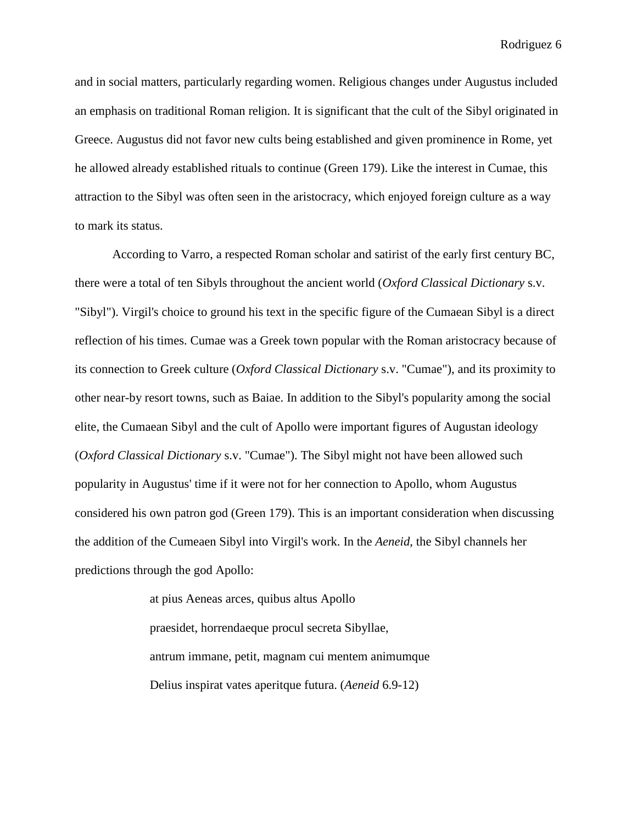and in social matters, particularly regarding women. Religious changes under Augustus included an emphasis on traditional Roman religion. It is significant that the cult of the Sibyl originated in Greece. Augustus did not favor new cults being established and given prominence in Rome, yet he allowed already established rituals to continue (Green 179). Like the interest in Cumae, this attraction to the Sibyl was often seen in the aristocracy, which enjoyed foreign culture as a way to mark its status.

According to Varro, a respected Roman scholar and satirist of the early first century BC, there were a total of ten Sibyls throughout the ancient world (*Oxford Classical Dictionary* s.v. "Sibyl"). Virgil's choice to ground his text in the specific figure of the Cumaean Sibyl is a direct reflection of his times. Cumae was a Greek town popular with the Roman aristocracy because of its connection to Greek culture (*Oxford Classical Dictionary* s.v. "Cumae"), and its proximity to other near-by resort towns, such as Baiae. In addition to the Sibyl's popularity among the social elite, the Cumaean Sibyl and the cult of Apollo were important figures of Augustan ideology (*Oxford Classical Dictionary* s.v. "Cumae"). The Sibyl might not have been allowed such popularity in Augustus' time if it were not for her connection to Apollo, whom Augustus considered his own patron god (Green 179). This is an important consideration when discussing the addition of the Cumeaen Sibyl into Virgil's work. In the *Aeneid*, the Sibyl channels her predictions through the god Apollo:

> at pius Aeneas arces, quibus altus Apollo praesidet, horrendaeque procul secreta Sibyllae, antrum immane, petit, magnam cui mentem animumque Delius inspirat vates aperitque futura. (*Aeneid* 6.9-12)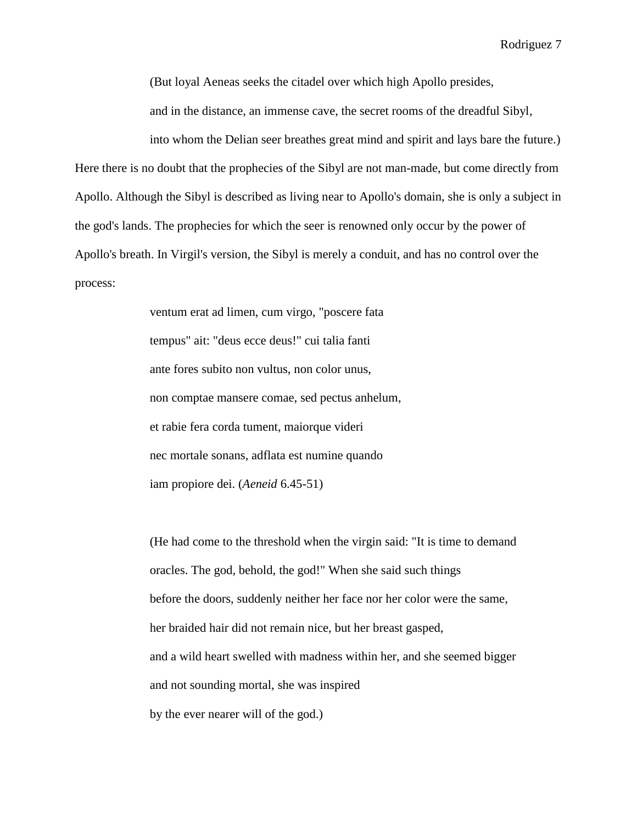(But loyal Aeneas seeks the citadel over which high Apollo presides,

and in the distance, an immense cave, the secret rooms of the dreadful Sibyl,

into whom the Delian seer breathes great mind and spirit and lays bare the future.)

Here there is no doubt that the prophecies of the Sibyl are not man-made, but come directly from Apollo. Although the Sibyl is described as living near to Apollo's domain, she is only a subject in the god's lands. The prophecies for which the seer is renowned only occur by the power of Apollo's breath. In Virgil's version, the Sibyl is merely a conduit, and has no control over the process:

> ventum erat ad limen, cum virgo, "poscere fata tempus" ait: "deus ecce deus!" cui talia fanti ante fores subito non vultus, non color unus, non comptae mansere comae, sed pectus anhelum, et rabie fera corda tument, maiorque videri nec mortale sonans, adflata est numine quando iam propiore dei. (*Aeneid* 6.45-51)

(He had come to the threshold when the virgin said: "It is time to demand oracles. The god, behold, the god!" When she said such things before the doors, suddenly neither her face nor her color were the same, her braided hair did not remain nice, but her breast gasped, and a wild heart swelled with madness within her, and she seemed bigger and not sounding mortal, she was inspired by the ever nearer will of the god.)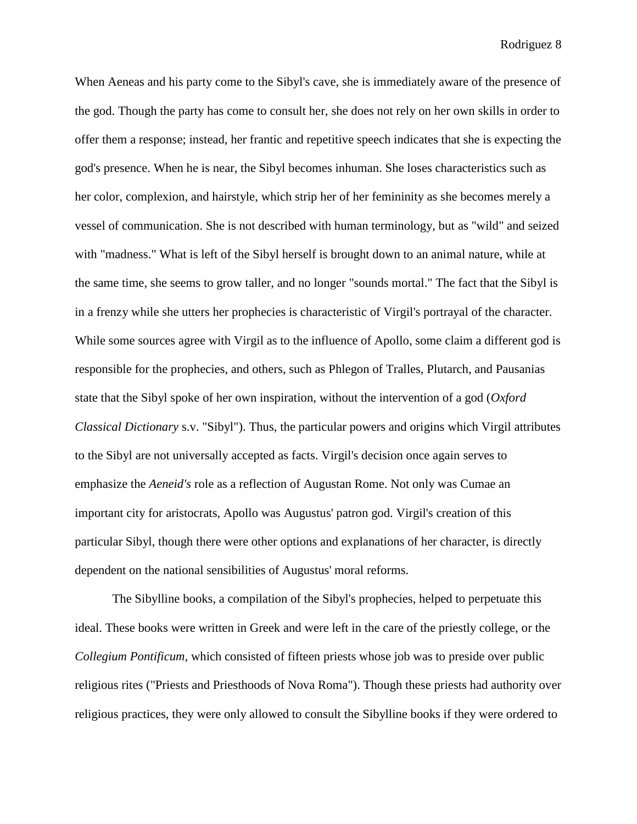When Aeneas and his party come to the Sibyl's cave, she is immediately aware of the presence of the god. Though the party has come to consult her, she does not rely on her own skills in order to offer them a response; instead, her frantic and repetitive speech indicates that she is expecting the god's presence. When he is near, the Sibyl becomes inhuman. She loses characteristics such as her color, complexion, and hairstyle, which strip her of her femininity as she becomes merely a vessel of communication. She is not described with human terminology, but as "wild" and seized with "madness." What is left of the Sibyl herself is brought down to an animal nature, while at the same time, she seems to grow taller, and no longer "sounds mortal." The fact that the Sibyl is in a frenzy while she utters her prophecies is characteristic of Virgil's portrayal of the character. While some sources agree with Virgil as to the influence of Apollo, some claim a different god is responsible for the prophecies, and others, such as Phlegon of Tralles, Plutarch, and Pausanias state that the Sibyl spoke of her own inspiration, without the intervention of a god (*Oxford Classical Dictionary* s.v. "Sibyl"). Thus, the particular powers and origins which Virgil attributes to the Sibyl are not universally accepted as facts. Virgil's decision once again serves to emphasize the *Aeneid's* role as a reflection of Augustan Rome. Not only was Cumae an important city for aristocrats, Apollo was Augustus' patron god. Virgil's creation of this particular Sibyl, though there were other options and explanations of her character, is directly dependent on the national sensibilities of Augustus' moral reforms.

The Sibylline books, a compilation of the Sibyl's prophecies, helped to perpetuate this ideal. These books were written in Greek and were left in the care of the priestly college, or the *Collegium Pontificum*, which consisted of fifteen priests whose job was to preside over public religious rites ("Priests and Priesthoods of Nova Roma"). Though these priests had authority over religious practices, they were only allowed to consult the Sibylline books if they were ordered to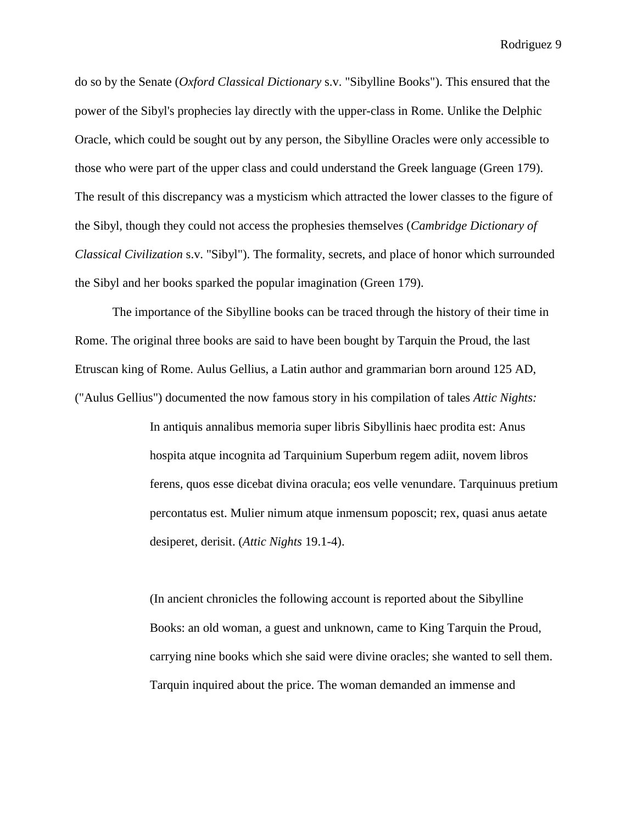do so by the Senate (*Oxford Classical Dictionary* s.v. "Sibylline Books"). This ensured that the power of the Sibyl's prophecies lay directly with the upper-class in Rome. Unlike the Delphic Oracle, which could be sought out by any person, the Sibylline Oracles were only accessible to those who were part of the upper class and could understand the Greek language (Green 179). The result of this discrepancy was a mysticism which attracted the lower classes to the figure of the Sibyl, though they could not access the prophesies themselves (*Cambridge Dictionary of Classical Civilization* s.v. "Sibyl"). The formality, secrets, and place of honor which surrounded the Sibyl and her books sparked the popular imagination (Green 179).

The importance of the Sibylline books can be traced through the history of their time in Rome. The original three books are said to have been bought by Tarquin the Proud, the last Etruscan king of Rome. Aulus Gellius, a Latin author and grammarian born around 125 AD, ("Aulus Gellius") documented the now famous story in his compilation of tales *Attic Nights:*

> In antiquis annalibus memoria super libris Sibyllinis haec prodita est: Anus hospita atque incognita ad Tarquinium Superbum regem adiit, novem libros ferens, quos esse dicebat divina oracula; eos velle venundare. Tarquinuus pretium percontatus est. Mulier nimum atque inmensum poposcit; rex, quasi anus aetate desiperet, derisit. (*Attic Nights* 19.1-4).

(In ancient chronicles the following account is reported about the Sibylline Books: an old woman, a guest and unknown, came to King Tarquin the Proud, carrying nine books which she said were divine oracles; she wanted to sell them. Tarquin inquired about the price. The woman demanded an immense and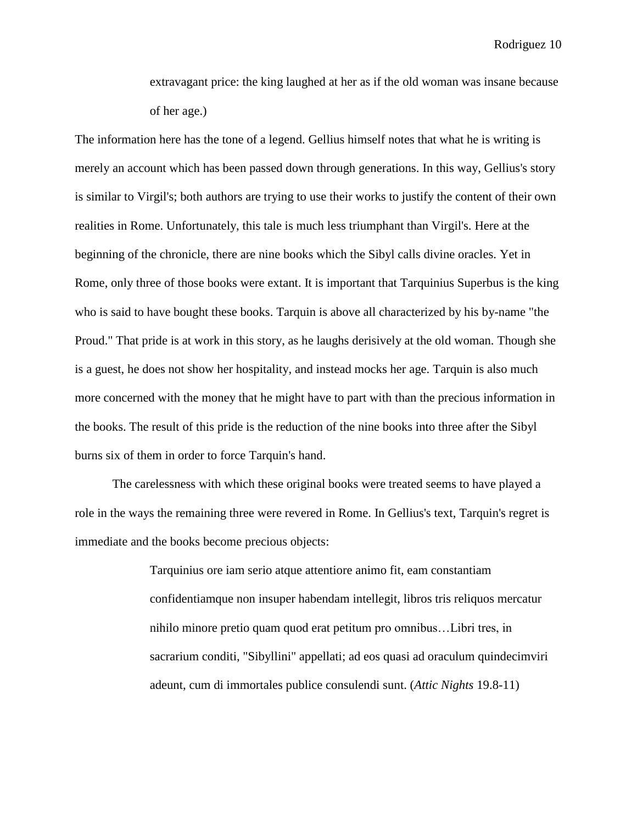extravagant price: the king laughed at her as if the old woman was insane because of her age.)

The information here has the tone of a legend. Gellius himself notes that what he is writing is merely an account which has been passed down through generations. In this way, Gellius's story is similar to Virgil's; both authors are trying to use their works to justify the content of their own realities in Rome. Unfortunately, this tale is much less triumphant than Virgil's. Here at the beginning of the chronicle, there are nine books which the Sibyl calls divine oracles. Yet in Rome, only three of those books were extant. It is important that Tarquinius Superbus is the king who is said to have bought these books. Tarquin is above all characterized by his by-name "the Proud." That pride is at work in this story, as he laughs derisively at the old woman. Though she is a guest, he does not show her hospitality, and instead mocks her age. Tarquin is also much more concerned with the money that he might have to part with than the precious information in the books. The result of this pride is the reduction of the nine books into three after the Sibyl burns six of them in order to force Tarquin's hand.

The carelessness with which these original books were treated seems to have played a role in the ways the remaining three were revered in Rome. In Gellius's text, Tarquin's regret is immediate and the books become precious objects:

> Tarquinius ore iam serio atque attentiore animo fit, eam constantiam confidentiamque non insuper habendam intellegit, libros tris reliquos mercatur nihilo minore pretio quam quod erat petitum pro omnibus…Libri tres, in sacrarium conditi, "Sibyllini" appellati; ad eos quasi ad oraculum quindecimviri adeunt, cum di immortales publice consulendi sunt. (*Attic Nights* 19.8-11)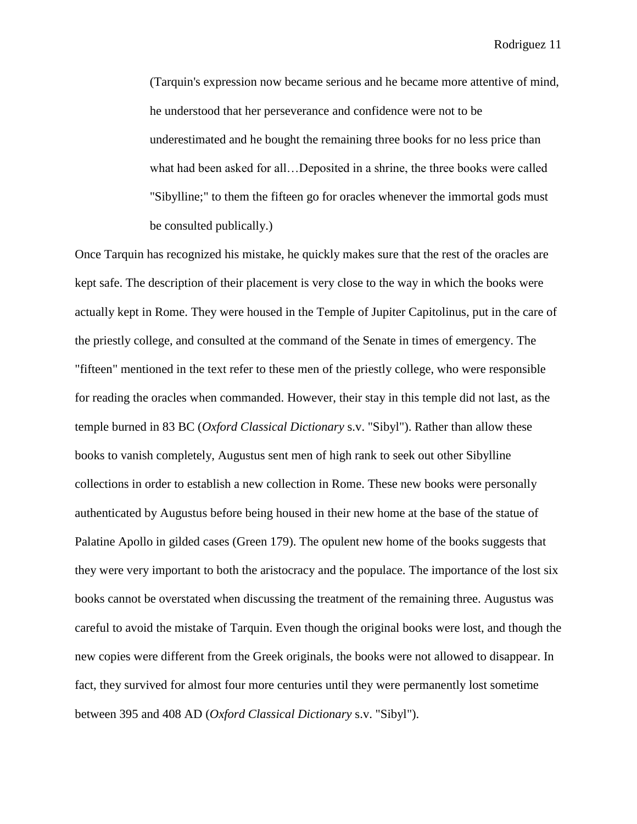(Tarquin's expression now became serious and he became more attentive of mind, he understood that her perseverance and confidence were not to be underestimated and he bought the remaining three books for no less price than what had been asked for all…Deposited in a shrine, the three books were called "Sibylline;" to them the fifteen go for oracles whenever the immortal gods must be consulted publically.)

Once Tarquin has recognized his mistake, he quickly makes sure that the rest of the oracles are kept safe. The description of their placement is very close to the way in which the books were actually kept in Rome. They were housed in the Temple of Jupiter Capitolinus, put in the care of the priestly college, and consulted at the command of the Senate in times of emergency. The "fifteen" mentioned in the text refer to these men of the priestly college, who were responsible for reading the oracles when commanded. However, their stay in this temple did not last, as the temple burned in 83 BC (*Oxford Classical Dictionary* s.v. "Sibyl"). Rather than allow these books to vanish completely, Augustus sent men of high rank to seek out other Sibylline collections in order to establish a new collection in Rome. These new books were personally authenticated by Augustus before being housed in their new home at the base of the statue of Palatine Apollo in gilded cases (Green 179). The opulent new home of the books suggests that they were very important to both the aristocracy and the populace. The importance of the lost six books cannot be overstated when discussing the treatment of the remaining three. Augustus was careful to avoid the mistake of Tarquin. Even though the original books were lost, and though the new copies were different from the Greek originals, the books were not allowed to disappear. In fact, they survived for almost four more centuries until they were permanently lost sometime between 395 and 408 AD (*Oxford Classical Dictionary* s.v. "Sibyl").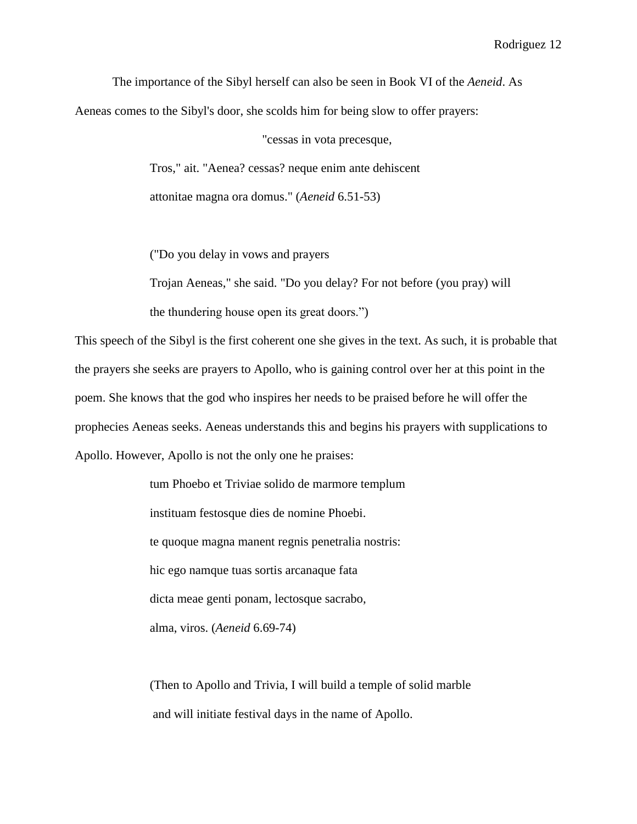The importance of the Sibyl herself can also be seen in Book VI of the *Aeneid*. As Aeneas comes to the Sibyl's door, she scolds him for being slow to offer prayers:

"cessas in vota precesque,

Tros," ait. "Aenea? cessas? neque enim ante dehiscent attonitae magna ora domus." (*Aeneid* 6.51-53)

("Do you delay in vows and prayers

Trojan Aeneas," she said. "Do you delay? For not before (you pray) will the thundering house open its great doors.")

This speech of the Sibyl is the first coherent one she gives in the text. As such, it is probable that the prayers she seeks are prayers to Apollo, who is gaining control over her at this point in the poem. She knows that the god who inspires her needs to be praised before he will offer the prophecies Aeneas seeks. Aeneas understands this and begins his prayers with supplications to Apollo. However, Apollo is not the only one he praises:

> tum Phoebo et Triviae solido de marmore templum instituam festosque dies de nomine Phoebi. te quoque magna manent regnis penetralia nostris: hic ego namque tuas sortis arcanaque fata dicta meae genti ponam, lectosque sacrabo, alma, viros. (*Aeneid* 6.69-74)

(Then to Apollo and Trivia, I will build a temple of solid marble and will initiate festival days in the name of Apollo.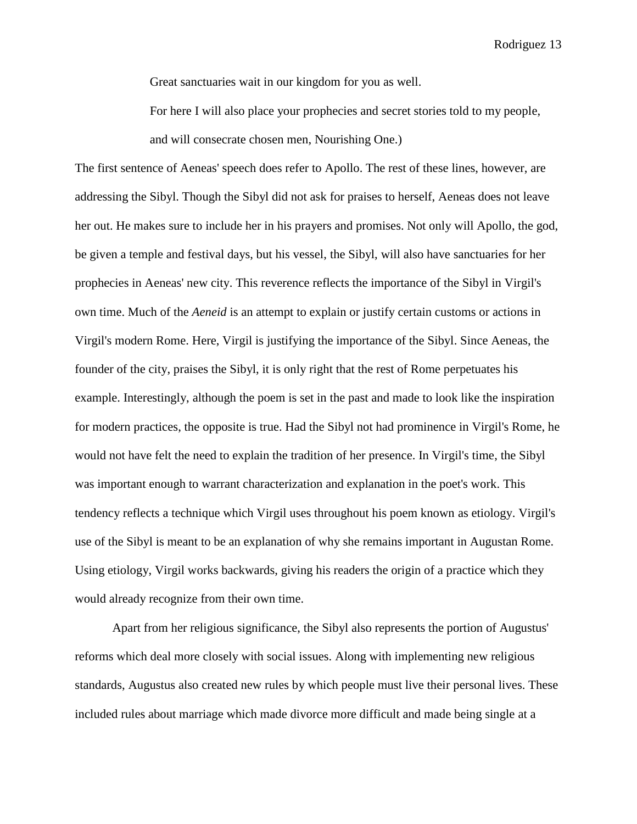Great sanctuaries wait in our kingdom for you as well.

For here I will also place your prophecies and secret stories told to my people, and will consecrate chosen men, Nourishing One.)

The first sentence of Aeneas' speech does refer to Apollo. The rest of these lines, however, are addressing the Sibyl. Though the Sibyl did not ask for praises to herself, Aeneas does not leave her out. He makes sure to include her in his prayers and promises. Not only will Apollo, the god, be given a temple and festival days, but his vessel, the Sibyl, will also have sanctuaries for her prophecies in Aeneas' new city. This reverence reflects the importance of the Sibyl in Virgil's own time. Much of the *Aeneid* is an attempt to explain or justify certain customs or actions in Virgil's modern Rome. Here, Virgil is justifying the importance of the Sibyl. Since Aeneas, the founder of the city, praises the Sibyl, it is only right that the rest of Rome perpetuates his example. Interestingly, although the poem is set in the past and made to look like the inspiration for modern practices, the opposite is true. Had the Sibyl not had prominence in Virgil's Rome, he would not have felt the need to explain the tradition of her presence. In Virgil's time, the Sibyl was important enough to warrant characterization and explanation in the poet's work. This tendency reflects a technique which Virgil uses throughout his poem known as etiology. Virgil's use of the Sibyl is meant to be an explanation of why she remains important in Augustan Rome. Using etiology, Virgil works backwards, giving his readers the origin of a practice which they would already recognize from their own time.

Apart from her religious significance, the Sibyl also represents the portion of Augustus' reforms which deal more closely with social issues. Along with implementing new religious standards, Augustus also created new rules by which people must live their personal lives. These included rules about marriage which made divorce more difficult and made being single at a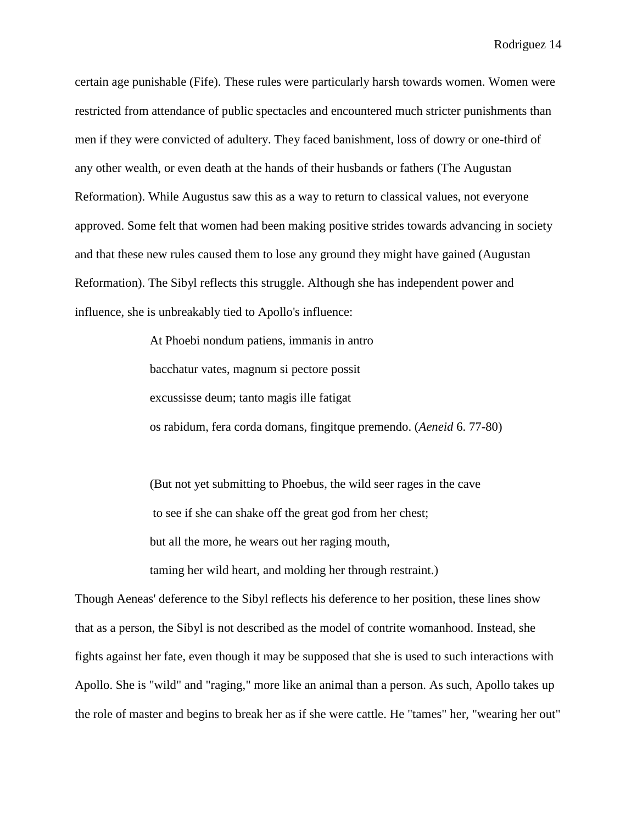certain age punishable (Fife). These rules were particularly harsh towards women. Women were restricted from attendance of public spectacles and encountered much stricter punishments than men if they were convicted of adultery. They faced banishment, loss of dowry or one-third of any other wealth, or even death at the hands of their husbands or fathers (The Augustan Reformation). While Augustus saw this as a way to return to classical values, not everyone approved. Some felt that women had been making positive strides towards advancing in society and that these new rules caused them to lose any ground they might have gained (Augustan Reformation). The Sibyl reflects this struggle. Although she has independent power and influence, she is unbreakably tied to Apollo's influence:

> At Phoebi nondum patiens, immanis in antro bacchatur vates, magnum si pectore possit excussisse deum; tanto magis ille fatigat os rabidum, fera corda domans, fingitque premendo. (*Aeneid* 6. 77-80)

(But not yet submitting to Phoebus, the wild seer rages in the cave to see if she can shake off the great god from her chest; but all the more, he wears out her raging mouth, taming her wild heart, and molding her through restraint.)

Though Aeneas' deference to the Sibyl reflects his deference to her position, these lines show that as a person, the Sibyl is not described as the model of contrite womanhood. Instead, she fights against her fate, even though it may be supposed that she is used to such interactions with Apollo. She is "wild" and "raging," more like an animal than a person. As such, Apollo takes up the role of master and begins to break her as if she were cattle. He "tames" her, "wearing her out"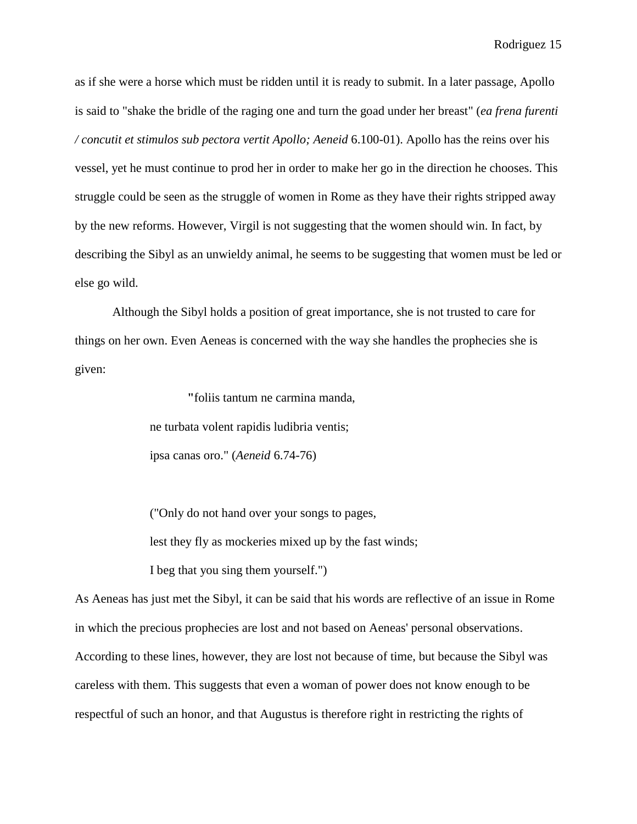as if she were a horse which must be ridden until it is ready to submit. In a later passage, Apollo is said to "shake the bridle of the raging one and turn the goad under her breast" (*ea frena furenti / concutit et stimulos sub pectora vertit Apollo; Aeneid* 6.100-01). Apollo has the reins over his vessel, yet he must continue to prod her in order to make her go in the direction he chooses. This struggle could be seen as the struggle of women in Rome as they have their rights stripped away by the new reforms. However, Virgil is not suggesting that the women should win. In fact, by describing the Sibyl as an unwieldy animal, he seems to be suggesting that women must be led or else go wild.

Although the Sibyl holds a position of great importance, she is not trusted to care for things on her own. Even Aeneas is concerned with the way she handles the prophecies she is given:

> **"**foliis tantum ne carmina manda, ne turbata volent rapidis ludibria ventis; ipsa canas oro." (*Aeneid* 6.74-76)

("Only do not hand over your songs to pages, lest they fly as mockeries mixed up by the fast winds; I beg that you sing them yourself.")

As Aeneas has just met the Sibyl, it can be said that his words are reflective of an issue in Rome in which the precious prophecies are lost and not based on Aeneas' personal observations. According to these lines, however, they are lost not because of time, but because the Sibyl was careless with them. This suggests that even a woman of power does not know enough to be respectful of such an honor, and that Augustus is therefore right in restricting the rights of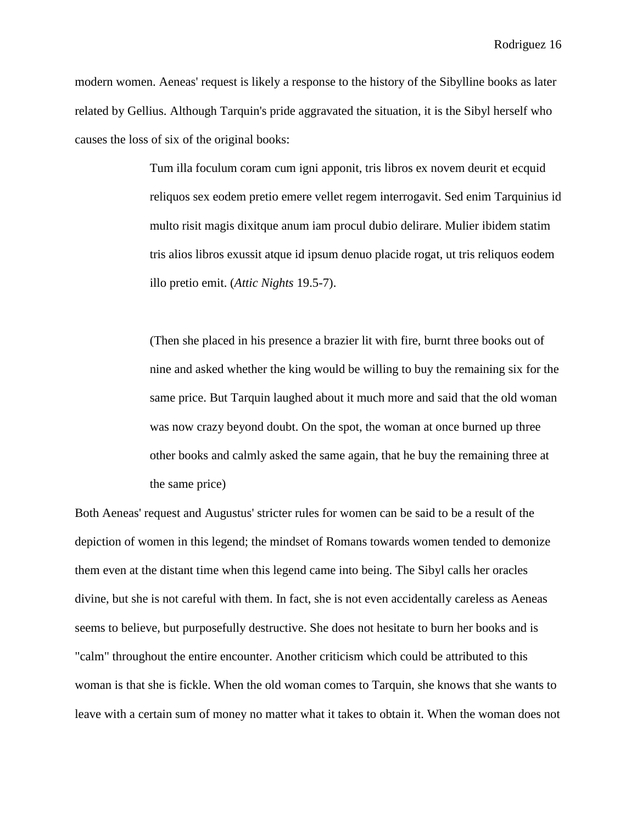modern women. Aeneas' request is likely a response to the history of the Sibylline books as later related by Gellius. Although Tarquin's pride aggravated the situation, it is the Sibyl herself who causes the loss of six of the original books:

> Tum illa foculum coram cum igni apponit, tris libros ex novem deurit et ecquid reliquos sex eodem pretio emere vellet regem interrogavit. Sed enim Tarquinius id multo risit magis dixitque anum iam procul dubio delirare. Mulier ibidem statim tris alios libros exussit atque id ipsum denuo placide rogat, ut tris reliquos eodem illo pretio emit. (*Attic Nights* 19.5-7).

> (Then she placed in his presence a brazier lit with fire, burnt three books out of nine and asked whether the king would be willing to buy the remaining six for the same price. But Tarquin laughed about it much more and said that the old woman was now crazy beyond doubt. On the spot, the woman at once burned up three other books and calmly asked the same again, that he buy the remaining three at the same price)

Both Aeneas' request and Augustus' stricter rules for women can be said to be a result of the depiction of women in this legend; the mindset of Romans towards women tended to demonize them even at the distant time when this legend came into being. The Sibyl calls her oracles divine, but she is not careful with them. In fact, she is not even accidentally careless as Aeneas seems to believe, but purposefully destructive. She does not hesitate to burn her books and is "calm" throughout the entire encounter. Another criticism which could be attributed to this woman is that she is fickle. When the old woman comes to Tarquin, she knows that she wants to leave with a certain sum of money no matter what it takes to obtain it. When the woman does not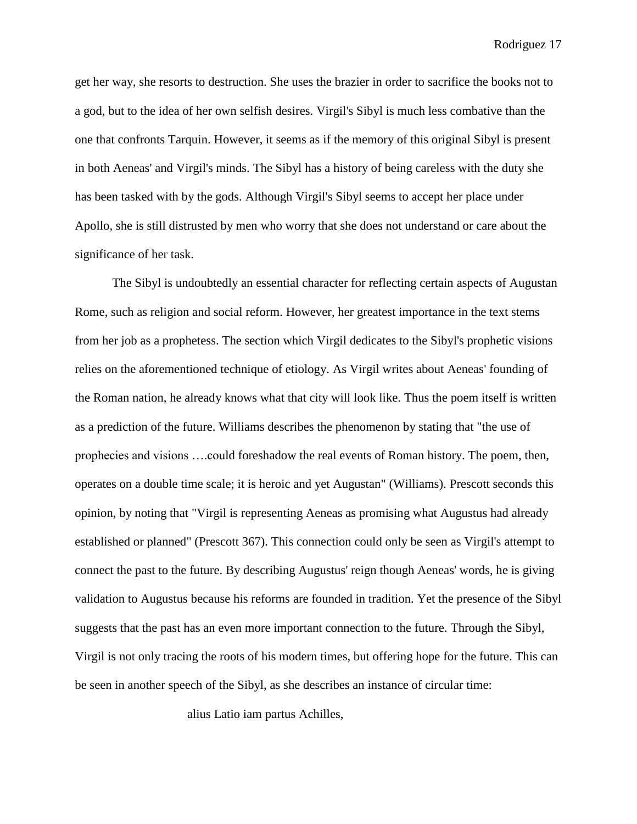get her way, she resorts to destruction. She uses the brazier in order to sacrifice the books not to a god, but to the idea of her own selfish desires. Virgil's Sibyl is much less combative than the one that confronts Tarquin. However, it seems as if the memory of this original Sibyl is present in both Aeneas' and Virgil's minds. The Sibyl has a history of being careless with the duty she has been tasked with by the gods. Although Virgil's Sibyl seems to accept her place under Apollo, she is still distrusted by men who worry that she does not understand or care about the significance of her task.

The Sibyl is undoubtedly an essential character for reflecting certain aspects of Augustan Rome, such as religion and social reform. However, her greatest importance in the text stems from her job as a prophetess. The section which Virgil dedicates to the Sibyl's prophetic visions relies on the aforementioned technique of etiology. As Virgil writes about Aeneas' founding of the Roman nation, he already knows what that city will look like. Thus the poem itself is written as a prediction of the future. Williams describes the phenomenon by stating that "the use of prophecies and visions ….could foreshadow the real events of Roman history. The poem, then, operates on a double time scale; it is heroic and yet Augustan" (Williams). Prescott seconds this opinion, by noting that "Virgil is representing Aeneas as promising what Augustus had already established or planned" (Prescott 367). This connection could only be seen as Virgil's attempt to connect the past to the future. By describing Augustus' reign though Aeneas' words, he is giving validation to Augustus because his reforms are founded in tradition. Yet the presence of the Sibyl suggests that the past has an even more important connection to the future. Through the Sibyl, Virgil is not only tracing the roots of his modern times, but offering hope for the future. This can be seen in another speech of the Sibyl, as she describes an instance of circular time:

alius Latio iam partus Achilles,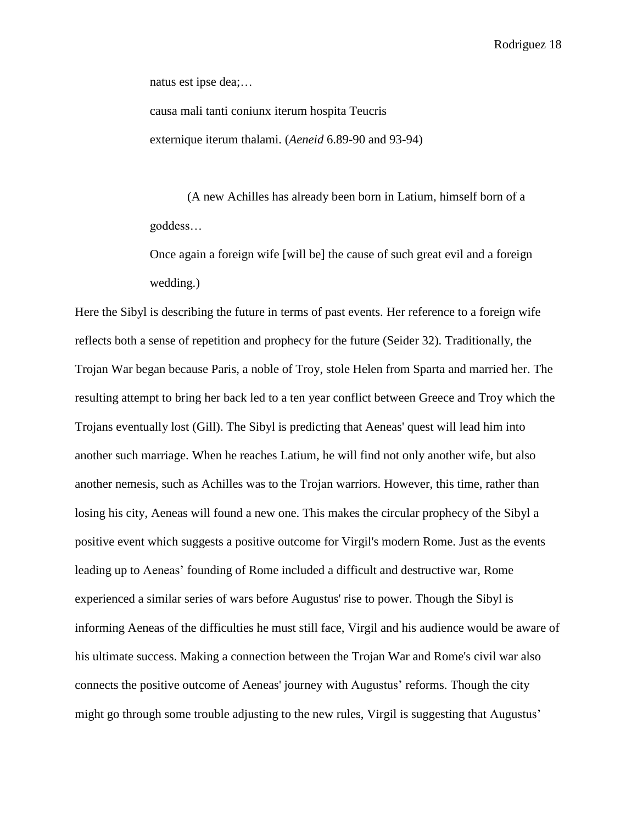natus est ipse dea;…

causa mali tanti coniunx iterum hospita Teucris externique iterum thalami. (*Aeneid* 6.89-90 and 93-94)

(A new Achilles has already been born in Latium, himself born of a goddess…

Once again a foreign wife [will be] the cause of such great evil and a foreign wedding.)

Here the Sibyl is describing the future in terms of past events. Her reference to a foreign wife reflects both a sense of repetition and prophecy for the future (Seider 32). Traditionally, the Trojan War began because Paris, a noble of Troy, stole Helen from Sparta and married her. The resulting attempt to bring her back led to a ten year conflict between Greece and Troy which the Trojans eventually lost (Gill). The Sibyl is predicting that Aeneas' quest will lead him into another such marriage. When he reaches Latium, he will find not only another wife, but also another nemesis, such as Achilles was to the Trojan warriors. However, this time, rather than losing his city, Aeneas will found a new one. This makes the circular prophecy of the Sibyl a positive event which suggests a positive outcome for Virgil's modern Rome. Just as the events leading up to Aeneas' founding of Rome included a difficult and destructive war, Rome experienced a similar series of wars before Augustus' rise to power. Though the Sibyl is informing Aeneas of the difficulties he must still face, Virgil and his audience would be aware of his ultimate success. Making a connection between the Trojan War and Rome's civil war also connects the positive outcome of Aeneas' journey with Augustus' reforms. Though the city might go through some trouble adjusting to the new rules, Virgil is suggesting that Augustus'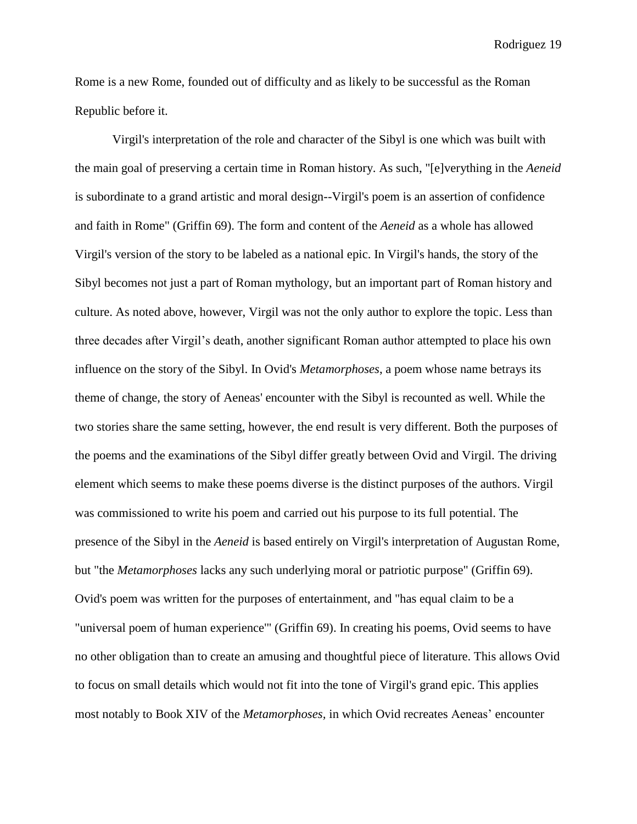Rome is a new Rome, founded out of difficulty and as likely to be successful as the Roman Republic before it.

Virgil's interpretation of the role and character of the Sibyl is one which was built with the main goal of preserving a certain time in Roman history. As such, "[e]verything in the *Aeneid* is subordinate to a grand artistic and moral design--Virgil's poem is an assertion of confidence and faith in Rome" (Griffin 69). The form and content of the *Aeneid* as a whole has allowed Virgil's version of the story to be labeled as a national epic. In Virgil's hands, the story of the Sibyl becomes not just a part of Roman mythology, but an important part of Roman history and culture. As noted above, however, Virgil was not the only author to explore the topic. Less than three decades after Virgil's death, another significant Roman author attempted to place his own influence on the story of the Sibyl. In Ovid's *Metamorphoses*, a poem whose name betrays its theme of change, the story of Aeneas' encounter with the Sibyl is recounted as well. While the two stories share the same setting, however, the end result is very different. Both the purposes of the poems and the examinations of the Sibyl differ greatly between Ovid and Virgil. The driving element which seems to make these poems diverse is the distinct purposes of the authors. Virgil was commissioned to write his poem and carried out his purpose to its full potential. The presence of the Sibyl in the *Aeneid* is based entirely on Virgil's interpretation of Augustan Rome, but "the *Metamorphoses* lacks any such underlying moral or patriotic purpose" (Griffin 69). Ovid's poem was written for the purposes of entertainment, and "has equal claim to be a "universal poem of human experience'" (Griffin 69). In creating his poems, Ovid seems to have no other obligation than to create an amusing and thoughtful piece of literature. This allows Ovid to focus on small details which would not fit into the tone of Virgil's grand epic. This applies most notably to Book XIV of the *Metamorphoses,* in which Ovid recreates Aeneas' encounter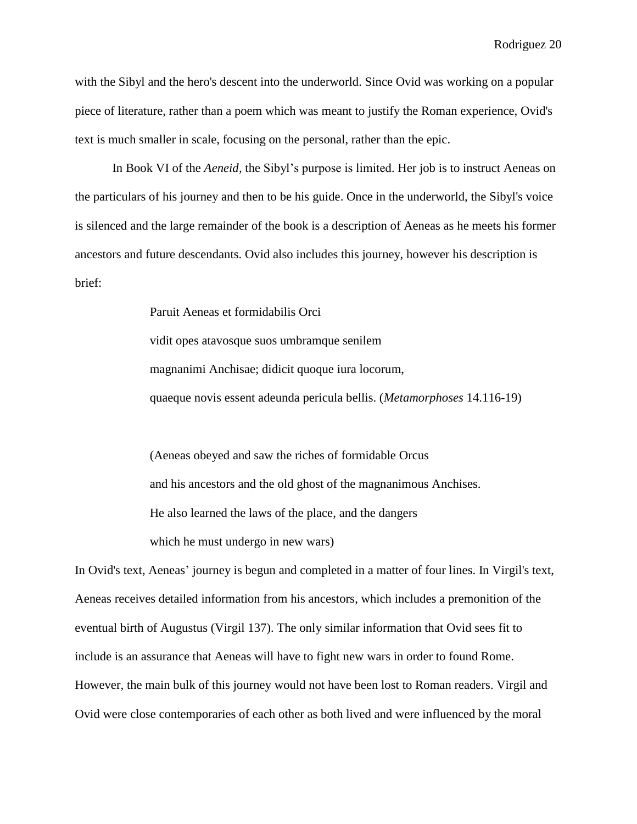with the Sibyl and the hero's descent into the underworld. Since Ovid was working on a popular piece of literature, rather than a poem which was meant to justify the Roman experience, Ovid's text is much smaller in scale, focusing on the personal, rather than the epic.

In Book VI of the *Aeneid,* the Sibyl's purpose is limited. Her job is to instruct Aeneas on the particulars of his journey and then to be his guide. Once in the underworld, the Sibyl's voice is silenced and the large remainder of the book is a description of Aeneas as he meets his former ancestors and future descendants. Ovid also includes this journey, however his description is brief:

> Paruit Aeneas et formidabilis Orci vidit opes atavosque suos umbramque senilem magnanimi Anchisae; didicit quoque iura locorum, quaeque novis essent adeunda pericula bellis. (*Metamorphoses* 14.116-19)

(Aeneas obeyed and saw the riches of formidable Orcus and his ancestors and the old ghost of the magnanimous Anchises. He also learned the laws of the place, and the dangers which he must undergo in new wars)

In Ovid's text, Aeneas' journey is begun and completed in a matter of four lines. In Virgil's text, Aeneas receives detailed information from his ancestors, which includes a premonition of the eventual birth of Augustus (Virgil 137). The only similar information that Ovid sees fit to include is an assurance that Aeneas will have to fight new wars in order to found Rome. However, the main bulk of this journey would not have been lost to Roman readers. Virgil and Ovid were close contemporaries of each other as both lived and were influenced by the moral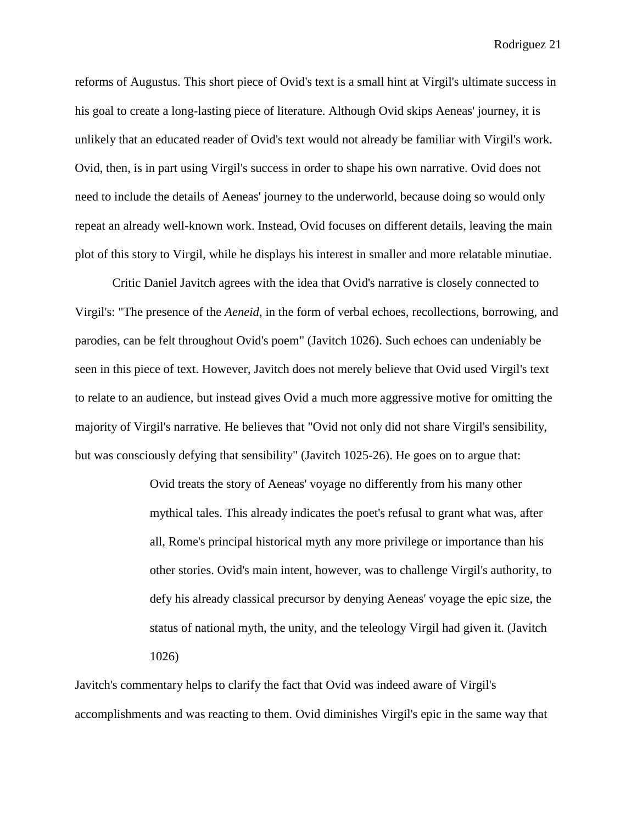reforms of Augustus. This short piece of Ovid's text is a small hint at Virgil's ultimate success in his goal to create a long-lasting piece of literature. Although Ovid skips Aeneas' journey, it is unlikely that an educated reader of Ovid's text would not already be familiar with Virgil's work. Ovid, then, is in part using Virgil's success in order to shape his own narrative. Ovid does not need to include the details of Aeneas' journey to the underworld, because doing so would only repeat an already well-known work. Instead, Ovid focuses on different details, leaving the main plot of this story to Virgil, while he displays his interest in smaller and more relatable minutiae.

Critic Daniel Javitch agrees with the idea that Ovid's narrative is closely connected to Virgil's: "The presence of the *Aeneid*, in the form of verbal echoes, recollections, borrowing, and parodies, can be felt throughout Ovid's poem" (Javitch 1026). Such echoes can undeniably be seen in this piece of text. However, Javitch does not merely believe that Ovid used Virgil's text to relate to an audience, but instead gives Ovid a much more aggressive motive for omitting the majority of Virgil's narrative. He believes that "Ovid not only did not share Virgil's sensibility, but was consciously defying that sensibility" (Javitch 1025-26). He goes on to argue that:

> Ovid treats the story of Aeneas' voyage no differently from his many other mythical tales. This already indicates the poet's refusal to grant what was, after all, Rome's principal historical myth any more privilege or importance than his other stories. Ovid's main intent, however, was to challenge Virgil's authority, to defy his already classical precursor by denying Aeneas' voyage the epic size, the status of national myth, the unity, and the teleology Virgil had given it. (Javitch 1026)

Javitch's commentary helps to clarify the fact that Ovid was indeed aware of Virgil's accomplishments and was reacting to them. Ovid diminishes Virgil's epic in the same way that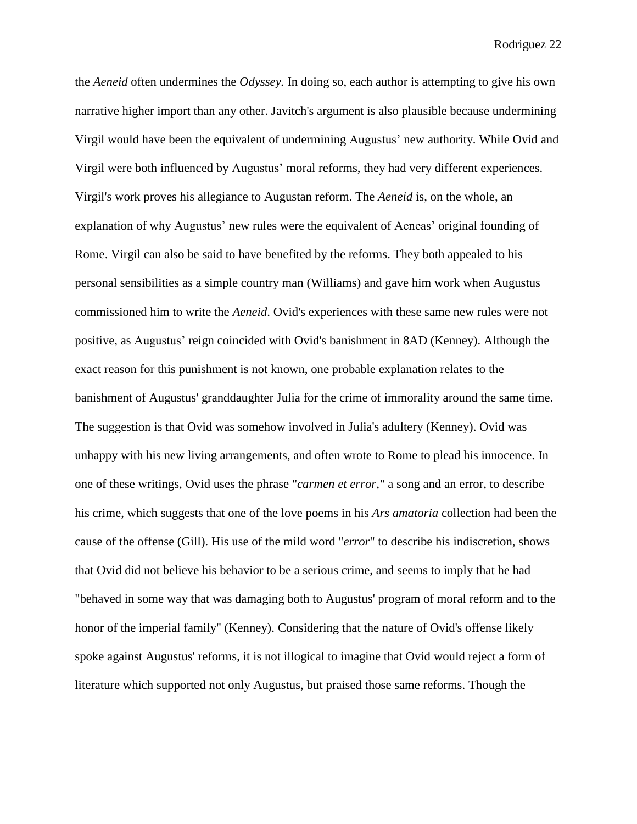the *Aeneid* often undermines the *Odyssey.* In doing so, each author is attempting to give his own narrative higher import than any other. Javitch's argument is also plausible because undermining Virgil would have been the equivalent of undermining Augustus' new authority. While Ovid and Virgil were both influenced by Augustus' moral reforms, they had very different experiences. Virgil's work proves his allegiance to Augustan reform. The *Aeneid* is, on the whole, an explanation of why Augustus' new rules were the equivalent of Aeneas' original founding of Rome. Virgil can also be said to have benefited by the reforms. They both appealed to his personal sensibilities as a simple country man (Williams) and gave him work when Augustus commissioned him to write the *Aeneid*. Ovid's experiences with these same new rules were not positive, as Augustus' reign coincided with Ovid's banishment in 8AD (Kenney). Although the exact reason for this punishment is not known, one probable explanation relates to the banishment of Augustus' granddaughter Julia for the crime of immorality around the same time. The suggestion is that Ovid was somehow involved in Julia's adultery (Kenney). Ovid was unhappy with his new living arrangements, and often wrote to Rome to plead his innocence. In one of these writings, Ovid uses the phrase "*carmen et error,"* a song and an error, to describe his crime, which suggests that one of the love poems in his *Ars amatoria* collection had been the cause of the offense (Gill). His use of the mild word "*error*" to describe his indiscretion, shows that Ovid did not believe his behavior to be a serious crime, and seems to imply that he had "behaved in some way that was damaging both to Augustus' program of moral reform and to the honor of the imperial family" (Kenney). Considering that the nature of Ovid's offense likely spoke against Augustus' reforms, it is not illogical to imagine that Ovid would reject a form of literature which supported not only Augustus, but praised those same reforms. Though the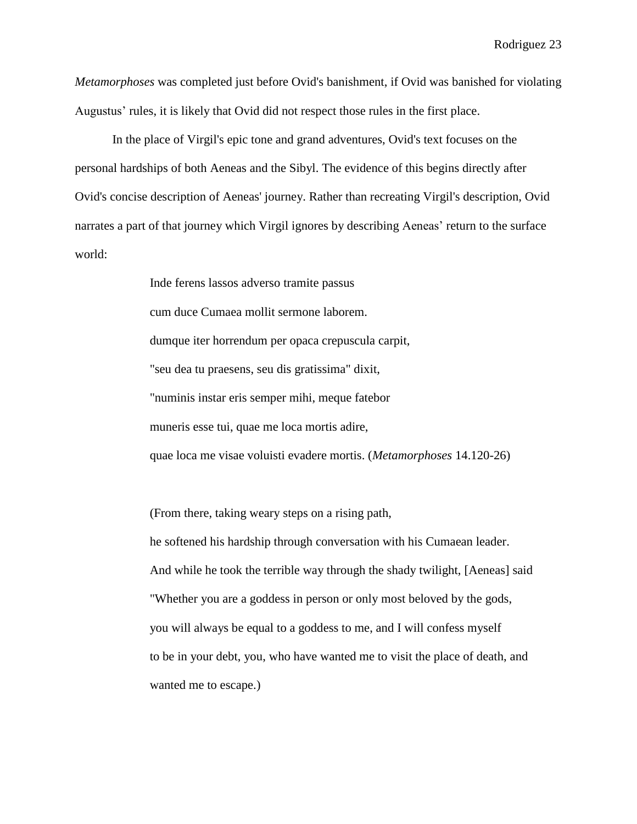*Metamorphoses* was completed just before Ovid's banishment, if Ovid was banished for violating Augustus' rules, it is likely that Ovid did not respect those rules in the first place.

In the place of Virgil's epic tone and grand adventures, Ovid's text focuses on the personal hardships of both Aeneas and the Sibyl. The evidence of this begins directly after Ovid's concise description of Aeneas' journey. Rather than recreating Virgil's description, Ovid narrates a part of that journey which Virgil ignores by describing Aeneas' return to the surface world:

> Inde ferens lassos adverso tramite passus cum duce Cumaea mollit sermone laborem. dumque iter horrendum per opaca crepuscula carpit, "seu dea tu praesens, seu dis gratissima" dixit, "numinis instar eris semper mihi, meque fatebor muneris esse tui, quae me loca mortis adire, quae loca me visae voluisti evadere mortis. (*Metamorphoses* 14.120-26)

(From there, taking weary steps on a rising path,

he softened his hardship through conversation with his Cumaean leader. And while he took the terrible way through the shady twilight, [Aeneas] said "Whether you are a goddess in person or only most beloved by the gods, you will always be equal to a goddess to me, and I will confess myself to be in your debt, you, who have wanted me to visit the place of death, and wanted me to escape.)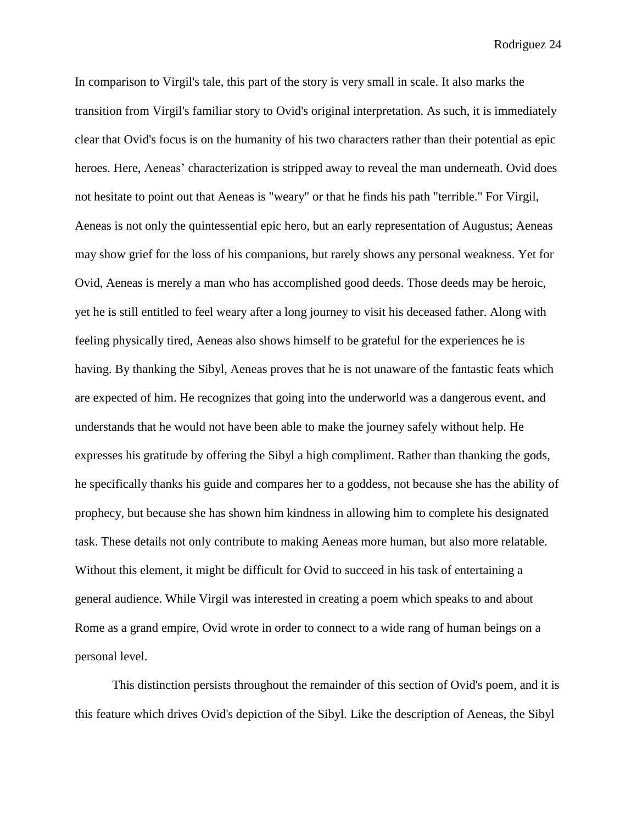In comparison to Virgil's tale, this part of the story is very small in scale. It also marks the transition from Virgil's familiar story to Ovid's original interpretation. As such, it is immediately clear that Ovid's focus is on the humanity of his two characters rather than their potential as epic heroes. Here, Aeneas' characterization is stripped away to reveal the man underneath. Ovid does not hesitate to point out that Aeneas is "weary" or that he finds his path "terrible." For Virgil, Aeneas is not only the quintessential epic hero, but an early representation of Augustus; Aeneas may show grief for the loss of his companions, but rarely shows any personal weakness. Yet for Ovid, Aeneas is merely a man who has accomplished good deeds. Those deeds may be heroic, yet he is still entitled to feel weary after a long journey to visit his deceased father. Along with feeling physically tired, Aeneas also shows himself to be grateful for the experiences he is having. By thanking the Sibyl, Aeneas proves that he is not unaware of the fantastic feats which are expected of him. He recognizes that going into the underworld was a dangerous event, and understands that he would not have been able to make the journey safely without help. He expresses his gratitude by offering the Sibyl a high compliment. Rather than thanking the gods, he specifically thanks his guide and compares her to a goddess, not because she has the ability of prophecy, but because she has shown him kindness in allowing him to complete his designated task. These details not only contribute to making Aeneas more human, but also more relatable. Without this element, it might be difficult for Ovid to succeed in his task of entertaining a general audience. While Virgil was interested in creating a poem which speaks to and about Rome as a grand empire, Ovid wrote in order to connect to a wide rang of human beings on a personal level.

This distinction persists throughout the remainder of this section of Ovid's poem, and it is this feature which drives Ovid's depiction of the Sibyl. Like the description of Aeneas, the Sibyl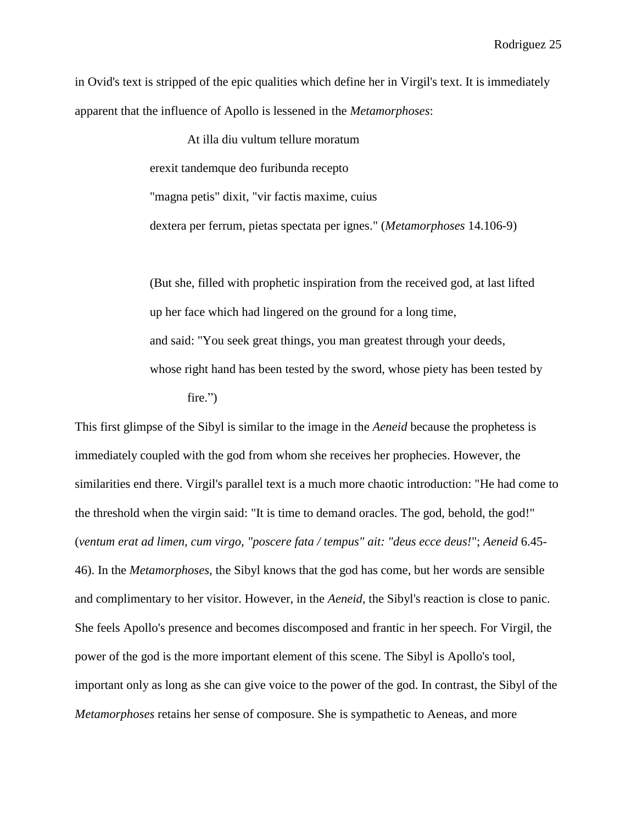in Ovid's text is stripped of the epic qualities which define her in Virgil's text. It is immediately apparent that the influence of Apollo is lessened in the *Metamorphoses*:

> At illa diu vultum tellure moratum erexit tandemque deo furibunda recepto "magna petis" dixit, "vir factis maxime, cuius dextera per ferrum, pietas spectata per ignes." (*Metamorphoses* 14.106-9)

(But she, filled with prophetic inspiration from the received god, at last lifted up her face which had lingered on the ground for a long time, and said: "You seek great things, you man greatest through your deeds, whose right hand has been tested by the sword, whose piety has been tested by fire.")

This first glimpse of the Sibyl is similar to the image in the *Aeneid* because the prophetess is immediately coupled with the god from whom she receives her prophecies. However, the similarities end there. Virgil's parallel text is a much more chaotic introduction: "He had come to the threshold when the virgin said: "It is time to demand oracles. The god, behold, the god!" (*ventum erat ad limen, cum virgo, "poscere fata / tempus" ait: "deus ecce deus!*"; *Aeneid* 6.45- 46). In the *Metamorphoses*, the Sibyl knows that the god has come, but her words are sensible and complimentary to her visitor. However, in the *Aeneid,* the Sibyl's reaction is close to panic. She feels Apollo's presence and becomes discomposed and frantic in her speech. For Virgil, the power of the god is the more important element of this scene. The Sibyl is Apollo's tool, important only as long as she can give voice to the power of the god. In contrast, the Sibyl of the *Metamorphoses* retains her sense of composure. She is sympathetic to Aeneas, and more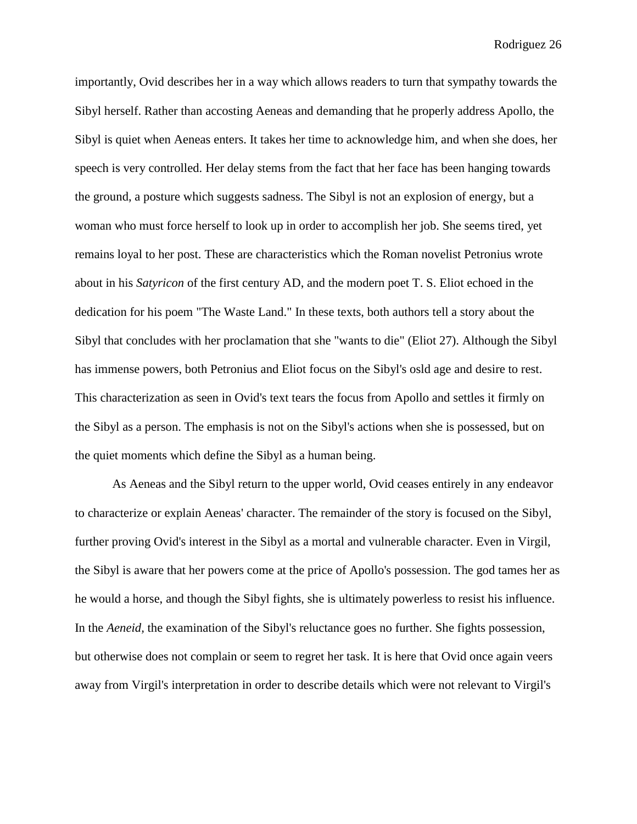importantly, Ovid describes her in a way which allows readers to turn that sympathy towards the Sibyl herself. Rather than accosting Aeneas and demanding that he properly address Apollo, the Sibyl is quiet when Aeneas enters. It takes her time to acknowledge him, and when she does, her speech is very controlled. Her delay stems from the fact that her face has been hanging towards the ground, a posture which suggests sadness. The Sibyl is not an explosion of energy, but a woman who must force herself to look up in order to accomplish her job. She seems tired, yet remains loyal to her post. These are characteristics which the Roman novelist Petronius wrote about in his *Satyricon* of the first century AD, and the modern poet T. S. Eliot echoed in the dedication for his poem "The Waste Land." In these texts, both authors tell a story about the Sibyl that concludes with her proclamation that she "wants to die" (Eliot 27). Although the Sibyl has immense powers, both Petronius and Eliot focus on the Sibyl's osld age and desire to rest. This characterization as seen in Ovid's text tears the focus from Apollo and settles it firmly on the Sibyl as a person. The emphasis is not on the Sibyl's actions when she is possessed, but on the quiet moments which define the Sibyl as a human being.

As Aeneas and the Sibyl return to the upper world, Ovid ceases entirely in any endeavor to characterize or explain Aeneas' character. The remainder of the story is focused on the Sibyl, further proving Ovid's interest in the Sibyl as a mortal and vulnerable character. Even in Virgil, the Sibyl is aware that her powers come at the price of Apollo's possession. The god tames her as he would a horse, and though the Sibyl fights, she is ultimately powerless to resist his influence. In the *Aeneid,* the examination of the Sibyl's reluctance goes no further. She fights possession, but otherwise does not complain or seem to regret her task. It is here that Ovid once again veers away from Virgil's interpretation in order to describe details which were not relevant to Virgil's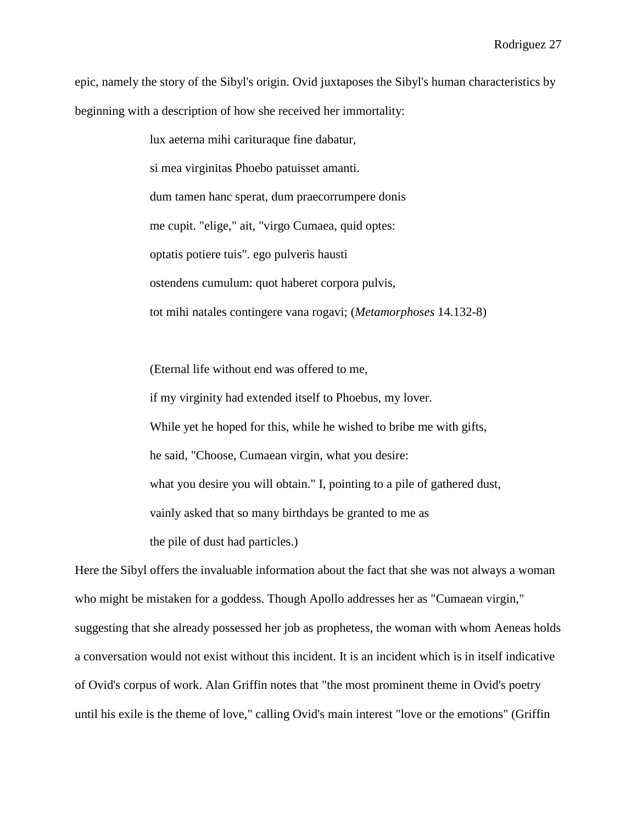epic, namely the story of the Sibyl's origin. Ovid juxtaposes the Sibyl's human characteristics by beginning with a description of how she received her immortality:

> lux aeterna mihi carituraque fine dabatur, si mea virginitas Phoebo patuisset amanti. dum tamen hanc sperat, dum praecorrumpere donis me cupit. "elige," ait, "virgo Cumaea, quid optes: optatis potiere tuis". ego pulveris hausti ostendens cumulum: quot haberet corpora pulvis, tot mihi natales contingere vana rogavi; (*Metamorphoses* 14.132-8)

(Eternal life without end was offered to me, if my virginity had extended itself to Phoebus, my lover. While yet he hoped for this, while he wished to bribe me with gifts, he said, "Choose, Cumaean virgin, what you desire: what you desire you will obtain." I, pointing to a pile of gathered dust, vainly asked that so many birthdays be granted to me as the pile of dust had particles.)

Here the Sibyl offers the invaluable information about the fact that she was not always a woman who might be mistaken for a goddess. Though Apollo addresses her as "Cumaean virgin," suggesting that she already possessed her job as prophetess, the woman with whom Aeneas holds a conversation would not exist without this incident. It is an incident which is in itself indicative of Ovid's corpus of work. Alan Griffin notes that "the most prominent theme in Ovid's poetry until his exile is the theme of love," calling Ovid's main interest "love or the emotions" (Griffin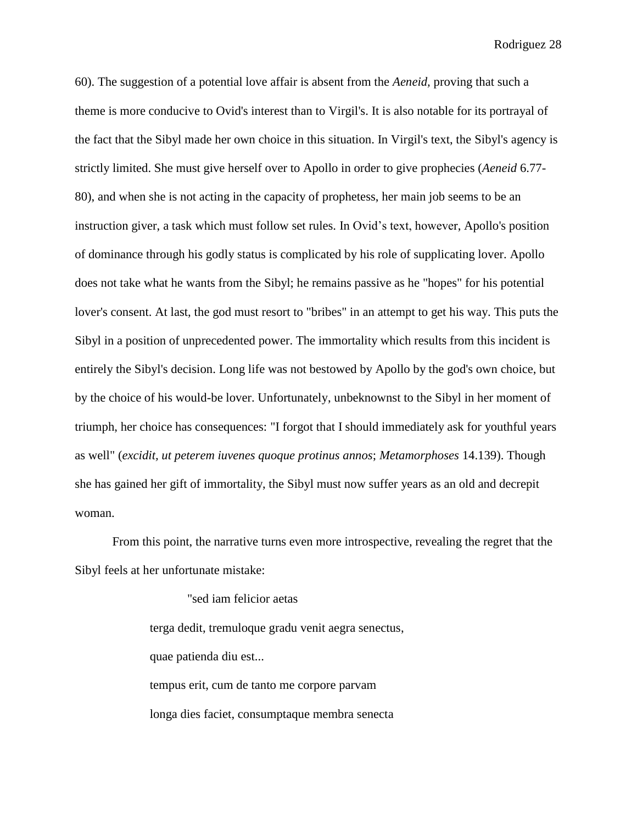60). The suggestion of a potential love affair is absent from the *Aeneid,* proving that such a theme is more conducive to Ovid's interest than to Virgil's. It is also notable for its portrayal of the fact that the Sibyl made her own choice in this situation. In Virgil's text, the Sibyl's agency is strictly limited. She must give herself over to Apollo in order to give prophecies (*Aeneid* 6.77- 80), and when she is not acting in the capacity of prophetess, her main job seems to be an instruction giver, a task which must follow set rules. In Ovid's text, however, Apollo's position of dominance through his godly status is complicated by his role of supplicating lover. Apollo does not take what he wants from the Sibyl; he remains passive as he "hopes" for his potential lover's consent. At last, the god must resort to "bribes" in an attempt to get his way. This puts the Sibyl in a position of unprecedented power. The immortality which results from this incident is entirely the Sibyl's decision. Long life was not bestowed by Apollo by the god's own choice, but by the choice of his would-be lover. Unfortunately, unbeknownst to the Sibyl in her moment of triumph, her choice has consequences: "I forgot that I should immediately ask for youthful years as well" (*excidit, ut peterem iuvenes quoque protinus annos*; *Metamorphoses* 14.139). Though she has gained her gift of immortality, the Sibyl must now suffer years as an old and decrepit woman.

From this point, the narrative turns even more introspective, revealing the regret that the Sibyl feels at her unfortunate mistake:

> "sed iam felicior aetas terga dedit, tremuloque gradu venit aegra senectus, quae patienda diu est... tempus erit, cum de tanto me corpore parvam longa dies faciet, consumptaque membra senecta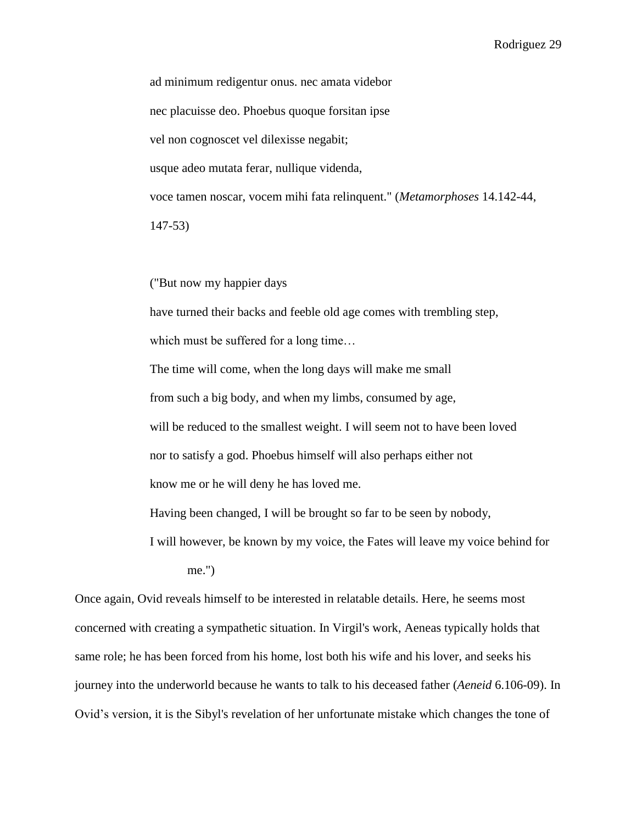ad minimum redigentur onus. nec amata videbor nec placuisse deo. Phoebus quoque forsitan ipse vel non cognoscet vel dilexisse negabit; usque adeo mutata ferar, nullique videnda, voce tamen noscar, vocem mihi fata relinquent." (*Metamorphoses* 14.142-44, 147-53)

("But now my happier days

have turned their backs and feeble old age comes with trembling step,

which must be suffered for a long time...

The time will come, when the long days will make me small from such a big body, and when my limbs, consumed by age, will be reduced to the smallest weight. I will seem not to have been loved nor to satisfy a god. Phoebus himself will also perhaps either not know me or he will deny he has loved me.

Having been changed, I will be brought so far to be seen by nobody,

I will however, be known by my voice, the Fates will leave my voice behind for me.")

Once again, Ovid reveals himself to be interested in relatable details. Here, he seems most concerned with creating a sympathetic situation. In Virgil's work, Aeneas typically holds that same role; he has been forced from his home, lost both his wife and his lover, and seeks his journey into the underworld because he wants to talk to his deceased father (*Aeneid* 6.106-09). In Ovid's version, it is the Sibyl's revelation of her unfortunate mistake which changes the tone of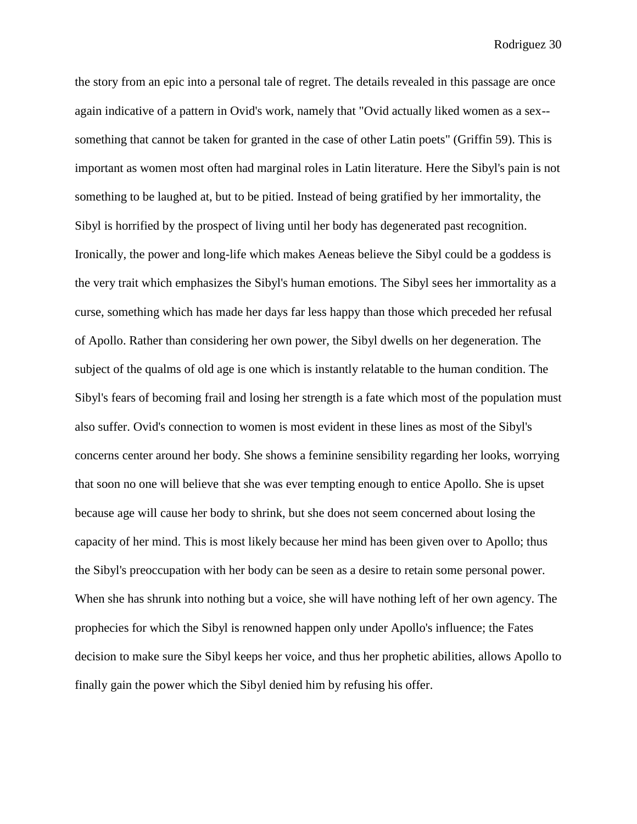the story from an epic into a personal tale of regret. The details revealed in this passage are once again indicative of a pattern in Ovid's work, namely that "Ovid actually liked women as a sex- something that cannot be taken for granted in the case of other Latin poets" (Griffin 59). This is important as women most often had marginal roles in Latin literature. Here the Sibyl's pain is not something to be laughed at, but to be pitied. Instead of being gratified by her immortality, the Sibyl is horrified by the prospect of living until her body has degenerated past recognition. Ironically, the power and long-life which makes Aeneas believe the Sibyl could be a goddess is the very trait which emphasizes the Sibyl's human emotions. The Sibyl sees her immortality as a curse, something which has made her days far less happy than those which preceded her refusal of Apollo. Rather than considering her own power, the Sibyl dwells on her degeneration. The subject of the qualms of old age is one which is instantly relatable to the human condition. The Sibyl's fears of becoming frail and losing her strength is a fate which most of the population must also suffer. Ovid's connection to women is most evident in these lines as most of the Sibyl's concerns center around her body. She shows a feminine sensibility regarding her looks, worrying that soon no one will believe that she was ever tempting enough to entice Apollo. She is upset because age will cause her body to shrink, but she does not seem concerned about losing the capacity of her mind. This is most likely because her mind has been given over to Apollo; thus the Sibyl's preoccupation with her body can be seen as a desire to retain some personal power. When she has shrunk into nothing but a voice, she will have nothing left of her own agency. The prophecies for which the Sibyl is renowned happen only under Apollo's influence; the Fates decision to make sure the Sibyl keeps her voice, and thus her prophetic abilities, allows Apollo to finally gain the power which the Sibyl denied him by refusing his offer.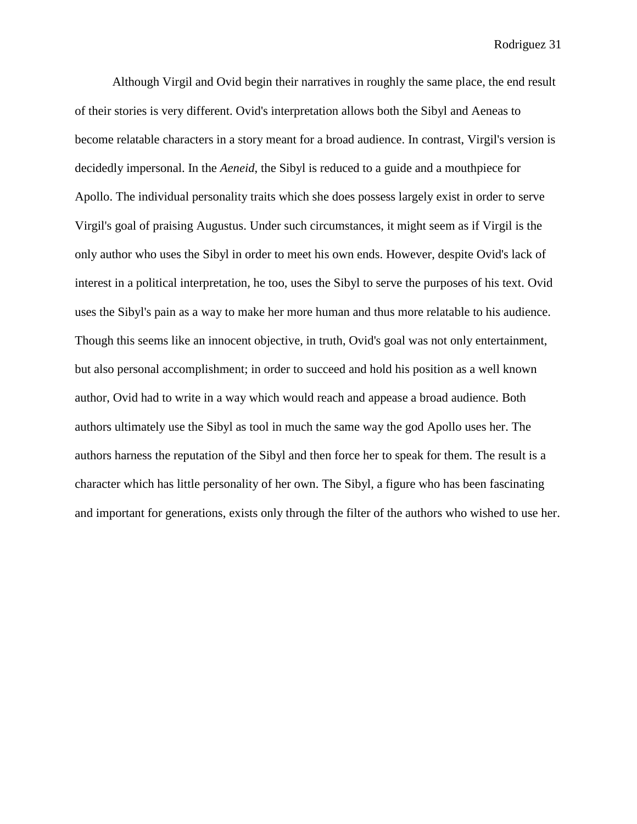Although Virgil and Ovid begin their narratives in roughly the same place, the end result of their stories is very different. Ovid's interpretation allows both the Sibyl and Aeneas to become relatable characters in a story meant for a broad audience. In contrast, Virgil's version is decidedly impersonal. In the *Aeneid*, the Sibyl is reduced to a guide and a mouthpiece for Apollo. The individual personality traits which she does possess largely exist in order to serve Virgil's goal of praising Augustus. Under such circumstances, it might seem as if Virgil is the only author who uses the Sibyl in order to meet his own ends. However, despite Ovid's lack of interest in a political interpretation, he too, uses the Sibyl to serve the purposes of his text. Ovid uses the Sibyl's pain as a way to make her more human and thus more relatable to his audience. Though this seems like an innocent objective, in truth, Ovid's goal was not only entertainment, but also personal accomplishment; in order to succeed and hold his position as a well known author, Ovid had to write in a way which would reach and appease a broad audience. Both authors ultimately use the Sibyl as tool in much the same way the god Apollo uses her. The authors harness the reputation of the Sibyl and then force her to speak for them. The result is a character which has little personality of her own. The Sibyl, a figure who has been fascinating and important for generations, exists only through the filter of the authors who wished to use her.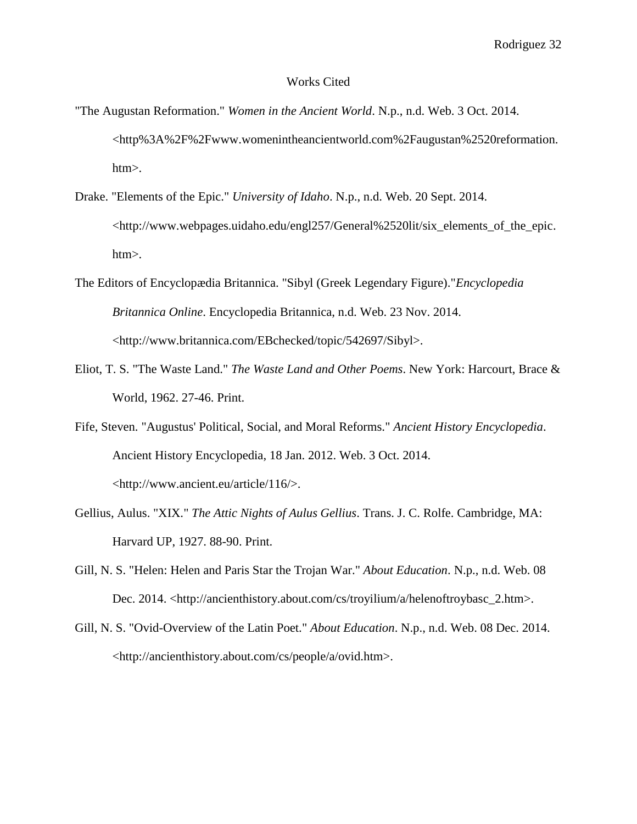## Works Cited

- "The Augustan Reformation." *Women in the Ancient World*. N.p., n.d. Web. 3 Oct. 2014. <http%3A%2F%2Fwww.womenintheancientworld.com%2Faugustan%2520reformation. htm>.
- Drake. "Elements of the Epic." *University of Idaho*. N.p., n.d. Web. 20 Sept. 2014. <http://www.webpages.uidaho.edu/engl257/General%2520lit/six\_elements\_of\_the\_epic. htm>.
- The Editors of Encyclopædia Britannica. "Sibyl (Greek Legendary Figure)."*Encyclopedia Britannica Online*. Encyclopedia Britannica, n.d. Web. 23 Nov. 2014. <http://www.britannica.com/EBchecked/topic/542697/Sibyl>.
- Eliot, T. S. "The Waste Land." *The Waste Land and Other Poems*. New York: Harcourt, Brace & World, 1962. 27-46. Print.
- Fife, Steven. "Augustus' Political, Social, and Moral Reforms." *Ancient History Encyclopedia*. Ancient History Encyclopedia, 18 Jan. 2012. Web. 3 Oct. 2014. <http://www.ancient.eu/article/116/>.
- Gellius, Aulus. "XIX." *The Attic Nights of Aulus Gellius*. Trans. J. C. Rolfe. Cambridge, MA: Harvard UP, 1927. 88-90. Print.
- Gill, N. S. "Helen: Helen and Paris Star the Trojan War." *About Education*. N.p., n.d. Web. 08 Dec. 2014. <http://ancienthistory.about.com/cs/troyilium/a/helenoftroybasc\_2.htm>.
- Gill, N. S. "Ovid-Overview of the Latin Poet." *About Education*. N.p., n.d. Web. 08 Dec. 2014. <http://ancienthistory.about.com/cs/people/a/ovid.htm>.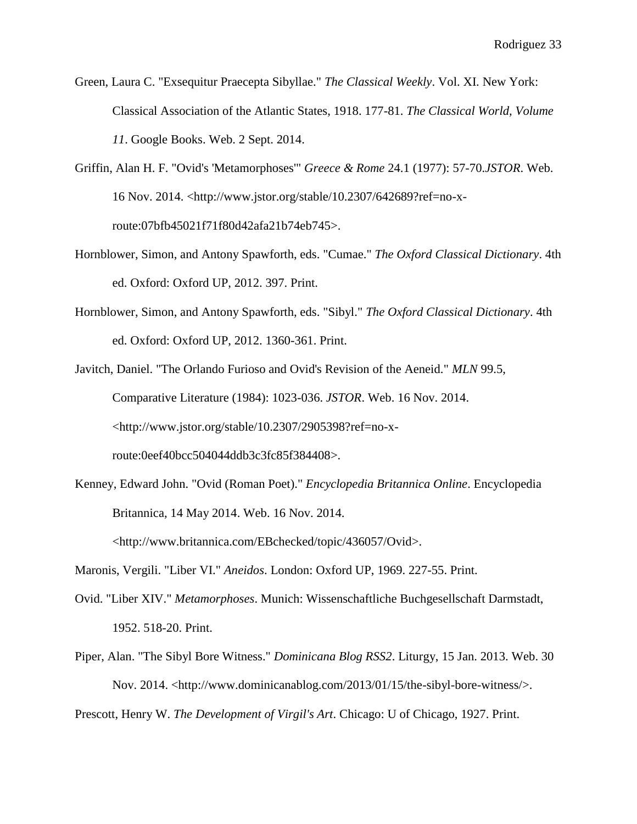- Green, Laura C. "Exsequitur Praecepta Sibyllae." *The Classical Weekly*. Vol. XI. New York: Classical Association of the Atlantic States, 1918. 177-81. *The Classical World, Volume 11*. Google Books. Web. 2 Sept. 2014.
- Griffin, Alan H. F. "Ovid's 'Metamorphoses'" *Greece & Rome* 24.1 (1977): 57-70.*JSTOR*. Web. 16 Nov. 2014. <http://www.jstor.org/stable/10.2307/642689?ref=no-xroute:07bfb45021f71f80d42afa21b74eb745>.
- Hornblower, Simon, and Antony Spawforth, eds. "Cumae." *The Oxford Classical Dictionary*. 4th ed. Oxford: Oxford UP, 2012. 397. Print.
- Hornblower, Simon, and Antony Spawforth, eds. "Sibyl." *The Oxford Classical Dictionary*. 4th ed. Oxford: Oxford UP, 2012. 1360-361. Print.
- Javitch, Daniel. "The Orlando Furioso and Ovid's Revision of the Aeneid." *MLN* 99.5, Comparative Literature (1984): 1023-036. *JSTOR*. Web. 16 Nov. 2014. <http://www.jstor.org/stable/10.2307/2905398?ref=no-xroute:0eef40bcc504044ddb3c3fc85f384408>.
- Kenney, Edward John. "Ovid (Roman Poet)." *Encyclopedia Britannica Online*. Encyclopedia Britannica, 14 May 2014. Web. 16 Nov. 2014.

<http://www.britannica.com/EBchecked/topic/436057/Ovid>.

Maronis, Vergili. "Liber VI." *Aneidos*. London: Oxford UP, 1969. 227-55. Print.

- Ovid. "Liber XIV." *Metamorphoses*. Munich: Wissenschaftliche Buchgesellschaft Darmstadt, 1952. 518-20. Print.
- Piper, Alan. "The Sibyl Bore Witness." *Dominicana Blog RSS2*. Liturgy, 15 Jan. 2013. Web. 30 Nov. 2014. <http://www.dominicanablog.com/2013/01/15/the-sibyl-bore-witness/>.

Prescott, Henry W. *The Development of Virgil's Art*. Chicago: U of Chicago, 1927. Print.